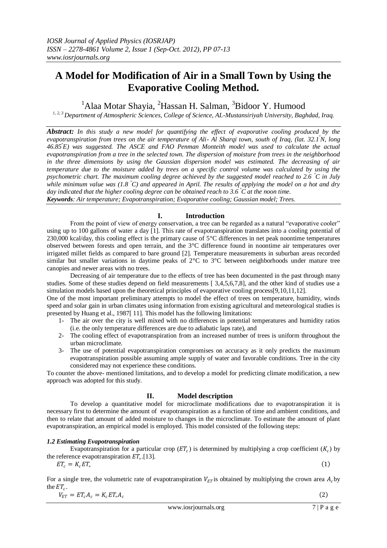# **A Model for Modification of Air in a Small Town by Using the Evaporative Cooling Method.**

<sup>1</sup>Alaa Motar Shayia, <sup>2</sup>Hassan H. Salman, <sup>3</sup>Bidoor Y. Humood

*1, 2, 3 Department of Atmospheric Sciences, College of Science, AL-Mustansiriyah University, Baghdad, Iraq.*

*Abstract: In this study a new model for quantifying the effect of evaporative cooling produced by the evapotranspiration from trees on the air temperature of Ali- Al Sharqi town, south of Iraq, (lat. 32.1<sup>º</sup>N, long 46.85<sup>º</sup>E) was suggested. The ASCE and FAO Penman Monteith model was used to calculate the actual evapotranspiration from a tree in the selected town. The dispersion of moisture from trees in the neighborhood in the three dimensions by using the Gaussian dispersion model was estimated. The decreasing of air temperature due to the moisture added by trees on a specific control volume was calculated by using the psychometric chart. The maximum cooling degree achieved by the suggested model reached to 2.6 <sup>º</sup>C in July while minimum value was (1.8 <sup>º</sup>C) and appeared in April. The results of applying the model on a hot and dry day indicated that the higher cooling degree can be obtained reach to 3.6 <sup>º</sup>C at the noon time. Keywords: Air temperature; Evapotranspiration; Evaporative cooling; Gaussian model; Trees.*

# **I. Introduction**

From the point of view of energy conservation, a tree can be regarded as a natural "evaporative cooler" using up to 100 gallons of water a day [1]. This rate of evapotranspiration translates into a cooling potential of 230,000 kcal/day, this cooling effect is the primary cause of 5°C differences in net peak noontime temperatures observed between forests and open terrain, and the 3°C difference found in noontime air temperatures over irrigated millet fields as compared to bare ground [2]. Temperature measurements in suburban areas recorded similar but smaller variations in daytime peaks of 2°C to 3°C between neighborhoods under mature tree canopies and newer areas with no trees.

Decreasing of air temperature due to the effects of tree has been documented in the past through many studies. Some of these studies depend on field measurements [ 3,4,5,6,7,8], and the other kind of studies use a simulation models based upon the theoretical principles of evaporative cooling process[9,10,11,12].

One of the most important preliminary attempts to model the effect of trees on temperature, humidity, winds speed and solar gain in urban climates using information from existing agricultural and meteorological studies is presented by Huang et al., 1987[ 11]*.* This model has the following limitations:

- 1- The air over the city is well mixed with no differences in potential temperatures and humidity ratios (i.e. the only temperature differences are due to adiabatic laps rate), and
- 2- The cooling effect of evapotranspiration from an increased number of trees is uniform throughout the urban microclimate.
- 3- The use of potential evapotranspiration compromises on accuracy as it only predicts the maximum evapotranspiration possible assuming ample supply of water and favorable conditions. Tree in the city considered may not experience these conditions.

To counter the above- mentioned limitations, and to develop a model for predicting climate modification, a new approach was adopted for this study.

# **II. Model description**

To develop a quantitative model for microclimate modifications due to evapotranspiration it is necessary first to determine the amount of evapotranspiration as a function of time and ambient conditions, and then to relate that amount of added moisture to changes in the microclimate. To estimate the amount of plant evapotranspiration, an empirical model is employed. This model consisted of the following steps:

# *1.2 Estimating Evapotranspiration*

Evapotranspiration for a particular crop ( $ET_c$ ) is determined by multiplying a crop coefficient ( $K_c$ ) by the reference evapotranspiration  $ET_{\circ}$ .[13].

$$
ET_c = K_c ET_c
$$

For a single tree, the volumetric rate of evapotranspiration  $V_{ET}$  is obtained by multiplying the crown area  $A_c$  by the  $ET_c$ .

$$
V_{ET} = ET_c A_c = K_c ET_s A_c \tag{2}
$$

 $(1)$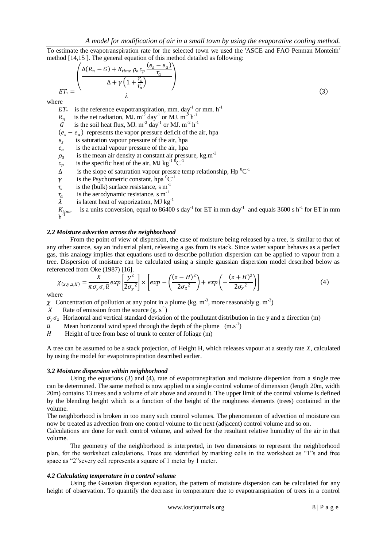To estimate the evapotranspiration rate for the selected town we used the 'ASCE and FAO Penman Monteith' method [14,15 ]. The general equation of this method detailed as following:

$$
ET_{\circ} = \frac{\left(\frac{\Delta(R_n - G) + K_{time} \rho_a c_p \frac{(e_s - e_a)}{r_a}}{\Delta + \gamma \left(1 + \frac{r_s}{r_a}\right)}\right)}{\lambda}
$$
\nre

\n(3)

where

 $ET_{\circ}$ is the reference evapotranspiration, mm. day<sup>-1</sup> or mm.  $h^{-1}$ 

 $R_n$ <br> $G$ is the net radiation, MJ.  $m^{-2}$  day<sup>-1</sup> or MJ.  $m^{-2}$  h<sup>-1</sup>

- G is the soil heat flux, MJ.  $m^{-2}$  day<sup>-1</sup> or MJ.  $m^{-2}$  h<sup>-1</sup>
- $(e_s e_a)$  represents the vapor pressure deficit of the air, hpa
- $e_{s}$ is saturation vapour pressure of the air, hpa
- $e_a\,$ is the actual vapour pressure of the air, hpa
- $\rho_a$ is the mean air density at constant air pressure,  $kg.m^{-3}$
- $c_p$ is the specific heat of the air, MJ kg<sup>-1  $\overline{0}$ </sup>C<sup>-1</sup>
- $\Delta$  is the slope of saturation vapour pressre temp relationship, Hp  ${}^{0}C^{-1}$
- $\gamma$  is the Psychometric constant, hpa  ${}^{0}C^{-1}$
- $r_{s}$ is the (bulk) surface resistance,  $\text{s m}^{-1}$
- is the aerodynamic resistance, s m<sup>-1</sup>
- $\int_{\lambda}^{r_a}$ is latent heat of vaporization, MJ  $kg^{-1}$

$$
K_{time}
$$
 is a units conversion, equal to 86400 s day<sup>-1</sup> for ET in mm day<sup>-1</sup> and equals 3600 s h<sup>-1</sup> for ET in mm h<sup>-1</sup>

## *2.2 Moisture advection across the neighborhood*

From the point of view of dispersion, the case of moisture being released by a tree, is similar to that of any other source, say an industrial plant, releasing a gas from its stack. Since water vapour behaves as a perfect gas, this analogy implies that equations used to describe pollution dispersion can be applied to vapour from a tree. Dispersion of moisture can be calculated using a simple gaussian dispersion model described below as referenced from Oke (1987) [16].

$$
\chi_{(x,y,z,H)} = \frac{X}{\pi \sigma_y \sigma_z \bar{u}} \exp\left[\frac{y^2}{2\sigma_y^2}\right] \times \left[\exp - \left(\frac{(z-H)^2}{2\sigma_z^2}\right) + \exp\left(-\frac{(z+H)^2}{2\sigma_z^2}\right)\right]
$$
(4)

where

 $\chi$  Concentration of pollution at any point in a plume (kg. m<sup>-3</sup>, more reasonably g. m<sup>-3</sup>)

 $X$  Rate of emission from the source  $(g. s<sup>-1</sup>)$ 

 $\sigma_y \sigma_z$  Horizontal and vertical standard deviation of the poullutant distribution in the y and z direction (m)

- $\overline{u}$  Mean horizontal wind speed through the depth of the plume  $(m.s^{-1})$
- $H$  Height of tree from base of trunk to center of foliage (m)

A tree can be assumed to be a stack projection, of Height H, which releases vapour at a steady rate *X*, calculated by using the model for evapotranspiration described earlier.

#### *3.2 Moisture dispersion within neighborhood*

Using the equations (3) and (4), rate of evapotranspiration and moisture dispersion from a single tree can be determined. The same method is now applied to a single control volume of dimension (length 20m, width 20m) contains 13 trees and a volume of air above and around it. The upper limit of the control volume is defined by the blending height which is a function of the height of the roughness elements (trees) contained in the volume.

The neighborhood is broken in too many such control volumes. The phenomenon of advection of moisture can now be treated as advection from one control volume to the next (adjacent) control volume and so on.

Calculations are done for each control volume, and solved for the resultant relative humidity of the air in that volume.

The geometry of the neighborhood is interpreted, in two dimensions to represent the neighborhood plan, for the worksheet calculations. Trees are identified by marking cells in the worksheet as "1"s and free space as "2" severy cell represents a square of 1 meter by 1 meter.

#### *4.2 Calculating temperature in a control volume*

Using the Gaussian dispersion equation, the pattern of moisture dispersion can be calculated for any height of observation. To quantify the decrease in temperature due to evapotranspiration of trees in a control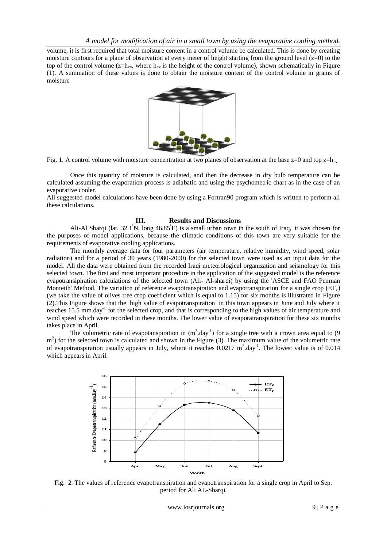volume, it is first required that total moisture content in a control volume be calculated. This is done by creating moisture contours for a plane of observation at every meter of height starting from the ground level  $(z=0)$  to the top of the control volume ( $z=h_{cv}$ , where  $h_{cv}$  is the height of the control volume), shown schematically in Figure (1). A summation of these values is done to obtain the moisture content of the control volume in grams of moisture



Fig. 1. A control volume with moisture concentration at two planes of observation at the base  $z=0$  and top  $z=h_{cy}$ 

Once this quantity of moisture is calculated, and then the decrease in dry bulb temperature can be calculated assuming the evaporation process is adiabatic and using the psychometric chart as in the case of an evaporative cooler.

All suggested model calculations have been done by using a Fortran90 program which is written to perform all these calculations.

### **III. Results and Discussions**

Ali-Al Sharqi (lat.  $32.1^{\circ}$ N, long  $46.85^{\circ}$ E) is a small urban town in the south of Iraq, it was chosen for the purposes of model applications, because the climatic conditions of this town are very suitable for the requirements of evaporative cooling applications.

The monthly average data for four parameters (air temperature, relative humidity, wind speed, solar radiation) and for a period of 30 years (1980-2000) for the selected town were used as an input data for the model. All the data were obtained from the recorded Iraqi meteorological organization and seismology for this selected town. The first and most important procedure in the application of the suggested model is the reference evapotransipiration calculations of the selected town (Ali- Al-sharqi) by using the 'ASCE and FAO Penman Monteith' Method. The variation of reference evapotranspiration and evapotranspiration for a single crop  $(ET_c)$ (we take the value of olives tree crop coefficient which is equal to 1.15) for six months is illustrated in Figure (2).This Figure shows that the high value of evapotranspiration in this town appears in June and July where it reaches 15.5 mm.day<sup>-1</sup> for the selected crop, and that is corresponding to the high values of air temperature and wind speed which were recorded in these months. The lower value of evaporatranspiration for these six months takes place in April.

The volumetric rate of evapotanspiration in  $(m^3 \text{.day}^1)$  for a single tree with a crown area equal to (9) m<sup>2</sup>) for the selected town is calculated and shown in the Figure (3). The maximum value of the volumetric rate of evapotranspiration usually appears in July, where it reaches  $0.0217 \text{ m}^3$ .day<sup>-1</sup>. The lowest value is of  $0.014$ which appears in April.



Fig. 2. The values of reference evapotranspiration and evapotranspiration for a single crop in April to Sep. period for Ali AL-Sharqi*.*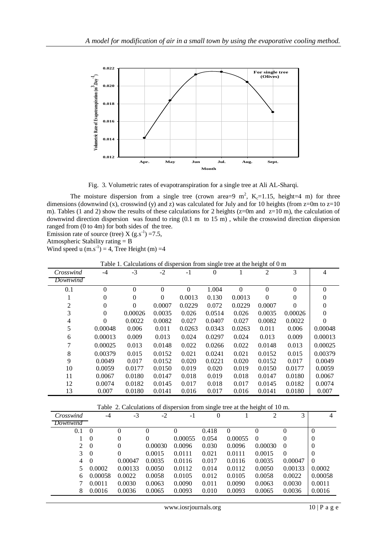

Fig. 3. Volumetric rates of evapotranspiration for a single tree at Ali AL-Sharqi.

The moisture dispersion from a single tree (crown area=9  $m^2$ , K<sub>c</sub>=1.15, height=4 m) for three dimensions (downwind (x), crosswind (y) and z) was calculated for July and for 10 heights (from z=0m to z=10 m). Tables (1 and 2) show the results of these calculations for 2 heights ( $z=0m$  and  $z=10 m$ ), the calculation of downwind direction dispersion was found to ring (0.1 m to 15 m) , while the crosswind direction dispersion ranged from (0 to 4m) for both sides of the tree.

Emission rate of source (tree)  $X$  (g.s<sup>-1</sup>) = 7.5,

Atmospheric Stability rating = B

Wind speed u  $(m.s^{-1}) = 4$ , Tree Height  $(m) = 4$ 

| Table 1. Calculations of dispersion from single tree at the height of 0 in |          |          |          |          |          |              |          |          |          |
|----------------------------------------------------------------------------|----------|----------|----------|----------|----------|--------------|----------|----------|----------|
| Crosswind                                                                  | -4       | $-3$     | $-2$     | $-1$     | $\Omega$ |              | 2        | 3        | 4        |
| Downwind                                                                   |          |          |          |          |          |              |          |          |          |
| 0.1                                                                        | $\Omega$ | $\Omega$ | $\theta$ | $\theta$ | 1.004    | $\mathbf{0}$ | $\Omega$ | $\theta$ | $\Omega$ |
|                                                                            | $\Omega$ | $\Omega$ | $\Omega$ | 0.0013   | 0.130    | 0.0013       | $\Omega$ | $\Omega$ | 0        |
| 2                                                                          | $\Omega$ | $\Omega$ | 0.0007   | 0.0229   | 0.072    | 0.0229       | 0.0007   | $\theta$ | 0        |
| 3                                                                          | $\Omega$ | 0.00026  | 0.0035   | 0.026    | 0.0514   | 0.026        | 0.0035   | 0.00026  | $\Omega$ |
| 4                                                                          | $\Omega$ | 0.0022   | 0.0082   | 0.027    | 0.0407   | 0.027        | 0.0082   | 0.0022   | $\Omega$ |
| 5                                                                          | 0.00048  | 0.006    | 0.011    | 0.0263   | 0.0343   | 0.0263       | 0.011    | 0.006    | 0.00048  |
| 6                                                                          | 0.00013  | 0.009    | 0.013    | 0.024    | 0.0297   | 0.024        | 0.013    | 0.009    | 0.00013  |
| 7                                                                          | 0.00025  | 0.013    | 0.0148   | 0.022    | 0.0266   | 0.022        | 0.0148   | 0.013    | 0.00025  |
| 8                                                                          | 0.00379  | 0.015    | 0.0152   | 0.021    | 0.0241   | 0.021        | 0.0152   | 0.015    | 0.00379  |
| 9                                                                          | 0.0049   | 0.017    | 0.0152   | 0.020    | 0.0221   | 0.020        | 0.0152   | 0.017    | 0.0049   |
| 10                                                                         | 0.0059   | 0.0177   | 0.0150   | 0.019    | 0.020    | 0.019        | 0.0150   | 0.0177   | 0.0059   |
| 11                                                                         | 0.0067   | 0.0180   | 0.0147   | 0.018    | 0.019    | 0.018        | 0.0147   | 0.0180   | 0.0067   |
| 12                                                                         | 0.0074   | 0.0182   | 0.0145   | 0.017    | 0.018    | 0.017        | 0.0145   | 0.0182   | 0.0074   |
| 13                                                                         | 0.007    | 0.0180   | 0.0141   | 0.016    | 0.017    | 0.016        | 0.0141   | 0.0180   | 0.007    |

|  |  | Table 1. Calculations of dispersion from single tree at the height of 0 m |
|--|--|---------------------------------------------------------------------------|
|  |  |                                                                           |

| Table 2. Calculations of dispersion from single tree at the height of 10 m. |          |          |          |          |       |          |          |          |                |
|-----------------------------------------------------------------------------|----------|----------|----------|----------|-------|----------|----------|----------|----------------|
| Crosswind                                                                   | $-4$     | $-3$     | $-2$     | -1       | 0     |          | 2        | 3        | 4              |
| Downwind                                                                    |          |          |          |          |       |          |          |          |                |
| 0.1                                                                         | $\Omega$ | $\theta$ | $\Omega$ | $\Omega$ | 0.418 | $\Omega$ | 0        | 0        | $\Omega$       |
|                                                                             | $\Omega$ | $\theta$ | 0        | 0.00055  | 0.054 | 0.00055  | $\Omega$ | 0        | $\overline{0}$ |
| 2                                                                           | $\theta$ | $\Omega$ | 0.00030  | 0.0096   | 0.030 | 0.0096   | 0.00030  | $\Omega$ | $\overline{0}$ |
| 3                                                                           | $\theta$ | $\Omega$ | 0.0015   | 0.0111   | 0.021 | 0.0111   | 0.0015   | $\Omega$ | $\Omega$       |
| 4                                                                           | $\Omega$ | 0.00047  | 0.0035   | 0.0116   | 0.017 | 0.0116   | 0.0035   | 0.00047  | $\Omega$       |
| 5                                                                           | 0.0002   | 0.00133  | 0.0050   | 0.0112   | 0.014 | 0.0112   | 0.0050   | 0.00133  | 0.0002         |
| 6                                                                           | 0.00058  | 0.0022   | 0.0058   | 0.0105   | 0.012 | 0.0105   | 0.0058   | 0.0022   | 0.00058        |
|                                                                             | 0.0011   | 0.0030   | 0.0063   | 0.0090   | 0.011 | 0.0090   | 0.0063   | 0.0030   | 0.0011         |
| 8                                                                           | 0.0016   | 0.0036   | 0.0065   | 0.0093   | 0.010 | 0.0093   | 0.0065   | 0.0036   | 0.0016         |
|                                                                             |          |          |          |          |       |          |          |          |                |

www.iosrjournals.org 10 | P a g e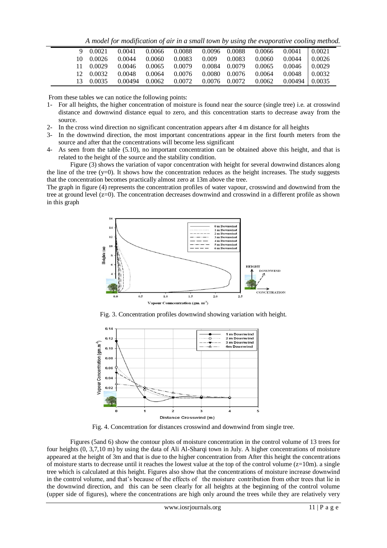*A model for modification of air in a small town by using the evaporative cooling method.*

| 9 0.0021  | 0.0041             | 0.0066 | 0.0088 | 0.0096 0.0088 |               | 0.0066 | 0.0041               | 0.0021  |
|-----------|--------------------|--------|--------|---------------|---------------|--------|----------------------|---------|
| 10 0.0026 | 0.0044             | 0.0060 | 0.0083 | 0.009         | 0.0083        | 0.0060 | 0.0044               | 10.0026 |
| 11 0.0029 | 0.0046             | 0.0065 | 0.0079 | 0.0084        | 0.0079        | 0.0065 | 0.0046               | 10.0029 |
| 12 0.0032 | 0.0048             | 0.0064 | 0.0076 |               | 0.0080 0.0076 | 0.0064 | $0.0048$ 0.0032      |         |
| 13 0.0035 | $0.00494$ $0.0062$ |        | 0.0072 |               | 0.0076 0.0072 | 0.0062 | $0.00494 \pm 0.0035$ |         |

From these tables we can notice the following points:

- 1- For all heights, the higher concentration of moisture is found near the source (single tree) i.e. at crosswind distance and downwind distance equal to zero, and this concentration starts to decrease away from the source.
- 2- In the cross wind direction no significant concentration appears after 4 m distance for all heights
- 3- In the downwind direction, the most important concentrations appear in the first fourth meters from the source and after that the concentrations will become less significant
- 4- As seen from the table (5.10), no important concentration can be obtained above this height, and that is related to the height of the source and the stability condition.

Figure (3) shows the variation of vapor concentration with height for several downwind distances along the line of the tree  $(y=0)$ . It shows how the concentration reduces as the height increases. The study suggests that the concentration becomes practically almost zero at 13m above the tree.

The graph in figure (4) represents the concentration profiles of water vapour, crosswind and downwind from the tree at ground level (z=0). The concentration decreases downwind and crosswind in a different profile as shown in this graph



Fig. 3. Concentration profiles downwind showing variation with height.



Fig. 4. Concentration for distances crosswind and downwind from single tree.

Figures (5and 6) show the contour plots of moisture concentration in the control volume of 13 trees for four heights (0, 3,7,10 m) by using the data of Ali Al-Sharqi town in July. A higher concentrations of moisture appeared at the height of 3m and that is due to the higher concentration from After this height the concentrations of moisture starts to decrease until it reaches the lowest value at the top of the control volume  $(z=10m)$ . a single tree which is calculated at this height. Figures also show that the concentrations of moisture increase downwind in the control volume, and that's because of the effects of the moisture contribution from other trees that lie in the downwind direction, and this can be seen clearly for all heights at the beginning of the control volume (upper side of figures), where the concentrations are high only around the trees while they are relatively very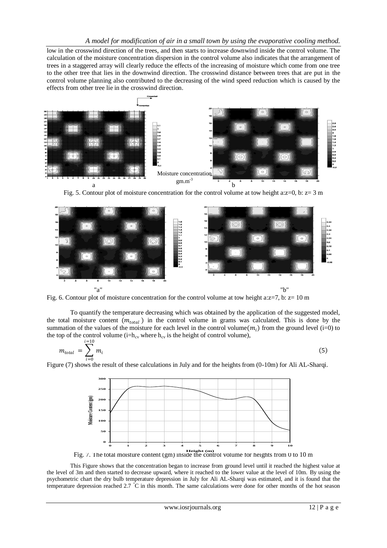low in the crosswind direction of the trees, and then starts to increase downwind inside the control volume. The calculation of the moisture concentration dispersion in the control volume also indicates that the arrangement of trees in a staggered array will clearly reduce the effects of the increasing of moisture which come from one tree to the other tree that lies in the downwind direction. The crosswind distance between trees that are put in the control volume planning also contributed to the decreasing of the wind speed reduction which is caused by the effects from other tree lie in the crosswind direction.



Fig. 5. Contour plot of moisture concentration for the control volume at tow height a: $z=0$ , b:  $z=3$  m



Fig. 6. Contour plot of moisture concentration for the control volume at tow height a: $z=7$ , b:  $z=10$  m

To quantify the temperature decreasing which was obtained by the application of the suggested model, the total moisture content  $(m_{total})$  in the control volume in grams was calculated. This is done by the summation of the values of the moisture for each level in the control volume $(m_i)$  from the ground level (i=0) to the top of the control volume (i= $h_{cv}$  where  $h_{cv}$  is the height of control volume),

$$
m_{total} = \sum_{i=0}^{i=10} m_i \tag{5}
$$

Figure (7) shows the result of these calculations in July and for the heights from (0-10m) for Ali AL-Sharqi.



Fig. 7. The total moisture content (gm) inside the control volume for heights from 0 to 10 m **Height (m)**

This Figure shows that the concentration began to increase from ground level until it reached the highest value at the level of 3m and then started to decrease upward, where it reached to the lower value at the level of 10m. By using the psychometric chart the dry bulb temperature depression in July for Ali AL-Sharqi was estimated, and it is found that the temperature depression reached 2.7 °C in this month. The same calculations were done for other months of the hot season